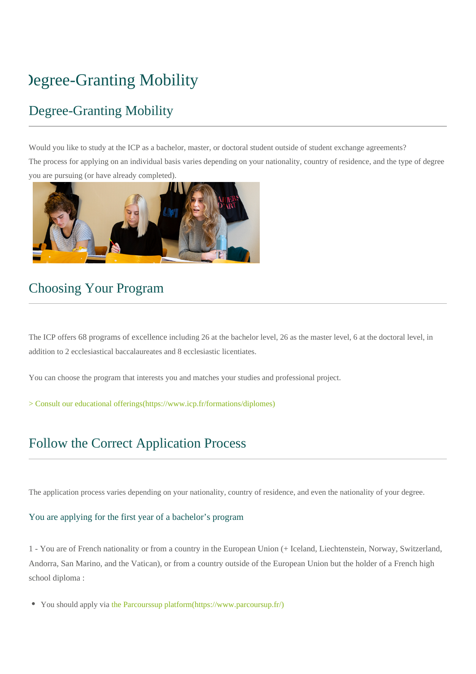# Degree-Granting Mobility

# Degree-Granting Mobility

Would you like to study at the ICP as a bachelor, master, or doctoral student outside of student exchange agreements? The process for applying on an individual basis varies depending on your nationality, country of residence, and the type of degree you are pursuing (or have already completed).



# Choosing Your Program

The ICP offers 68 programs of excellence including 26 at the bachelor level, 26 as the master level, 6 at the doctoral level, in addition to 2 ecclesiastical baccalaureates and 8 ecclesiastic licentiates.

You can choose the program that interests you and matches your studies and professional project.

[> Consult our educational offerings\(https://www.icp.fr/formations/diplomes\)](https://www.icp.fr/formations/diplomes)

# Follow the Correct Application Process

The application process varies depending on your nationality, country of residence, and even the nationality of your degree.

### You are applying for the first year of a bachelor's program

1 - You are of French nationality or from a country in the European Union (+ Iceland, Liechtenstein, Norway, Switzerland, Andorra, San Marino, and the Vatican), or from a country outside of the European Union but the holder of a French high school diploma :

You should apply via [the Parcourssup platform\(https://www.parcoursup.fr/\)](https://www.parcoursup.fr/)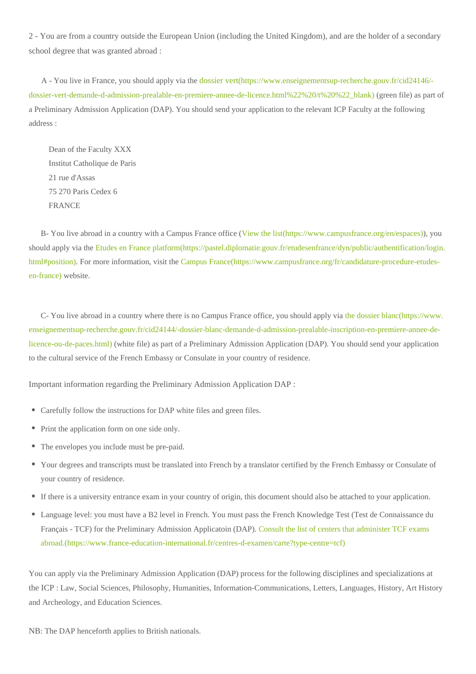2 - You are from a country outside the European Union (including the United Kingdom), and are the holder of a secondary school degree that was granted abroad :

 A - You live in France, you should apply via the dossier vert[\(https://www.enseignementsup-recherche.gouv.fr/cid24146/](https://www.enseignementsup-recherche.gouv.fr/cid24146/-dossier-vert-demande-d-admission-prealable-en-premiere-annee-de-licence.html%22%20/t%20%22_blank) [dossier-vert-demande-d-admission-prealable-en-premiere-annee-de-licence.html%22%20/t%20%22\\_blank\)](https://www.enseignementsup-recherche.gouv.fr/cid24146/-dossier-vert-demande-d-admission-prealable-en-premiere-annee-de-licence.html%22%20/t%20%22_blank) (green file) as part of a Preliminary Admission Application (DAP). You should send your application to the relevant ICP Faculty at the following address :

 Dean of the Faculty XXX Institut Catholique de Paris 21 rue d'Assas 75 270 Paris Cedex 6 FRANCE

 B- You live abroad in a country with a Campus France office [\(View the list\(https://www.campusfrance.org/en/espaces\)](https://www.campusfrance.org/en/espaces)), you should apply via the [Etudes en France platform\(https://pastel.diplomatie.gouv.fr/etudesenfrance/dyn/public/authentification/login.](https://pastel.diplomatie.gouv.fr/etudesenfrance/dyn/public/authentification/login.html#position) [html#position\).](https://pastel.diplomatie.gouv.fr/etudesenfrance/dyn/public/authentification/login.html#position) For more information, visit the [Campus France\(https://www.campusfrance.org/fr/candidature-procedure-etudes](https://www.campusfrance.org/fr/candidature-procedure-etudes-en-france)[en-france\)](https://www.campusfrance.org/fr/candidature-procedure-etudes-en-france) website.

 C- You live abroad in a country where there is no Campus France office, you should apply via [the dossier blanc\(https://www.](https://www.enseignementsup-recherche.gouv.fr/cid24144/-dossier-blanc-demande-d-admission-prealable-inscription-en-premiere-annee-de-licence-ou-de-paces.html) [enseignementsup-recherche.gouv.fr/cid24144/-dossier-blanc-demande-d-admission-prealable-inscription-en-premiere-annee-de](https://www.enseignementsup-recherche.gouv.fr/cid24144/-dossier-blanc-demande-d-admission-prealable-inscription-en-premiere-annee-de-licence-ou-de-paces.html)[licence-ou-de-paces.html\)](https://www.enseignementsup-recherche.gouv.fr/cid24144/-dossier-blanc-demande-d-admission-prealable-inscription-en-premiere-annee-de-licence-ou-de-paces.html) (white file) as part of a Preliminary Admission Application (DAP). You should send your application to the cultural service of the French Embassy or Consulate in your country of residence.

Important information regarding the Preliminary Admission Application DAP :

- Carefully follow the instructions for DAP white files and green files.
- Print the application form on one side only.
- The envelopes you include must be pre-paid.
- Your degrees and transcripts must be translated into French by a translator certified by the French Embassy or Consulate of your country of residence.
- If there is a university entrance exam in your country of origin, this document should also be attached to your application.
- Language level: you must have a B2 level in French. You must pass the French Knowledge Test (Test de Connaissance du Français - TCF) for the Preliminary Admission Applicatoin (DAP). [Consult the list of centers that administer TCF exams](https://www.france-education-international.fr/centres-d-examen/carte?type-centre=tcf)  [abroad.\(https://www.france-education-international.fr/centres-d-examen/carte?type-centre=tcf\)](https://www.france-education-international.fr/centres-d-examen/carte?type-centre=tcf)

You can apply via the Preliminary Admission Application (DAP) process for the following disciplines and specializations at the ICP : Law, Social Sciences, Philosophy, Humanities, Information-Communications, Letters, Languages, History, Art History and Archeology, and Education Sciences.

NB: The DAP henceforth applies to British nationals.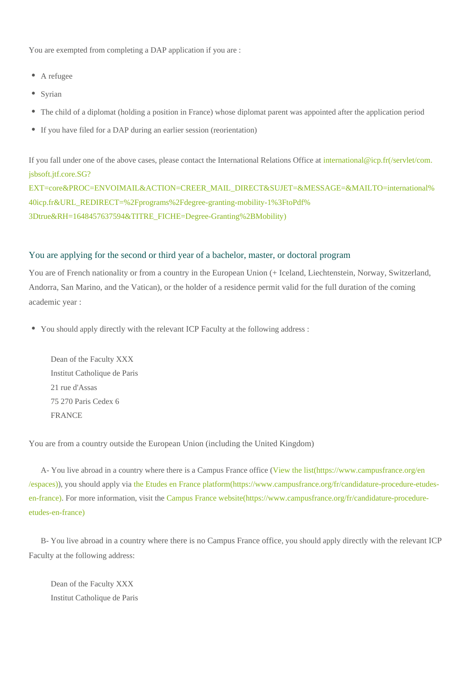You are exempted from completing a DAP application if you are :

- A refugee
- Syrian
- The child of a diplomat (holding a position in France) whose diplomat parent was appointed after the application period
- If you have filed for a DAP during an earlier session (reorientation)

If you fall under one of the above cases, please contact the International Relations Office at international@icp.fr(/servlet/com. jsbsoft.jtf.core.SG? EXT=core&PROC=ENVOIMAIL&ACTION=CREER\_MAIL\_DIRECT&SUJET=&MESSAGE=&MAILTO=international% 40icp.fr&URL\_REDIRECT=%2Fprograms%2Fdegree-granting-mobility-1%3FtoPdf% 3Dtrue&RH=1648457637594&TITRE\_FICHE=Degree-Granting%2BMobility)

#### You are applying for the second or third year of a bachelor, master, or doctoral program

You are of French nationality or from a country in the European Union (+ Iceland, Liechtenstein, Norway, Switzerland, Andorra, San Marino, and the Vatican), or the holder of a residence permit valid for the full duration of the coming academic year :

You should apply directly with the relevant ICP Faculty at the following address :

 Dean of the Faculty XXX Institut Catholique de Paris 21 rue d'Assas 75 270 Paris Cedex 6 FRANCE

You are from a country outside the European Union (including the United Kingdom)

 A- You live abroad in a country where there is a Campus France office [\(View the list\(https://www.campusfrance.org/en](https://www.campusfrance.org/en/espaces) [/espaces\)\)](https://www.campusfrance.org/en/espaces), you should apply via [the Etudes en France platform\(https://www.campusfrance.org/fr/candidature-procedure-etudes](https://www.campusfrance.org/fr/candidature-procedure-etudes-en-france)[en-france\)](https://www.campusfrance.org/fr/candidature-procedure-etudes-en-france). For more information, visit the [Campus France website\(https://www.campusfrance.org/fr/candidature-procedure](https://www.campusfrance.org/fr/candidature-procedure-etudes-en-france)[etudes-en-france\)](https://www.campusfrance.org/fr/candidature-procedure-etudes-en-france)

 B- You live abroad in a country where there is no Campus France office, you should apply directly with the relevant ICP Faculty at the following address:

 Dean of the Faculty XXX Institut Catholique de Paris